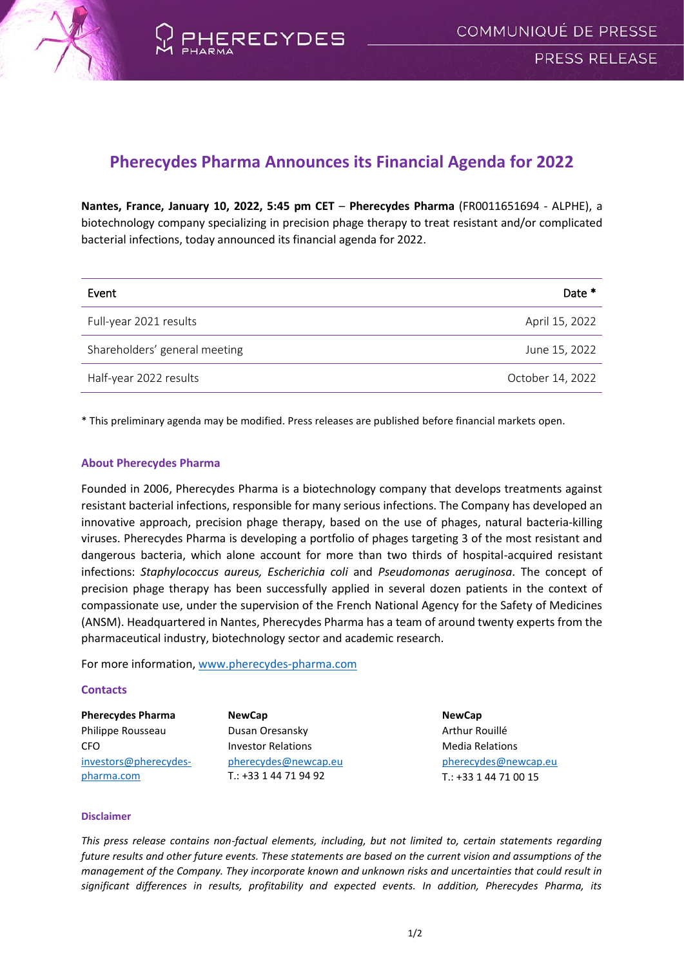

## **Pherecydes Pharma Announces its Financial Agenda for 2022**

**Nantes, France, January 10, 2022, 5:45 pm CET** – **Pherecydes Pharma** (FR0011651694 - ALPHE), a biotechnology company specializing in precision phage therapy to treat resistant and/or complicated bacterial infections, today announced its financial agenda for 2022.

| Event                         | Date *           |
|-------------------------------|------------------|
| Full-year 2021 results        | April 15, 2022   |
| Shareholders' general meeting | June 15, 2022    |
| Half-year 2022 results        | October 14, 2022 |

\* This preliminary agenda may be modified. Press releases are published before financial markets open.

## **About Pherecydes Pharma**

Founded in 2006, Pherecydes Pharma is a biotechnology company that develops treatments against resistant bacterial infections, responsible for many serious infections. The Company has developed an innovative approach, precision phage therapy, based on the use of phages, natural bacteria-killing viruses. Pherecydes Pharma is developing a portfolio of phages targeting 3 of the most resistant and dangerous bacteria, which alone account for more than two thirds of hospital-acquired resistant infections: *Staphylococcus aureus, Escherichia coli* and *Pseudomonas aeruginosa*. The concept of precision phage therapy has been successfully applied in several dozen patients in the context of compassionate use, under the supervision of the French National Agency for the Safety of Medicines (ANSM). Headquartered in Nantes, Pherecydes Pharma has a team of around twenty experts from the pharmaceutical industry, biotechnology sector and academic research.

For more information, [www.pherecydes-pharma.com](file:///C:/Users/Newcap/AppData/Local/Microsoft/Windows/INetCache/Content.Outlook/VSUEWB7P/www.pherecydes-pharma.com)

## **Contacts**

| <b>Pherecydes Pharma</b> | <b>NewCap</b>             | <b>NewCap</b>          |
|--------------------------|---------------------------|------------------------|
| Philippe Rousseau        | Dusan Oresansky           | Arthur Rouillé         |
| CFO.                     | <b>Investor Relations</b> | <b>Media Relations</b> |
| investors@pherecydes-    | pherecydes@newcap.eu      | pherecydes@newcap.eu   |
| pharma.com               | $T: +33144719492$         | T.: +33 1 44 71 00 15  |

## **Disclaimer**

*This press release contains non-factual elements, including, but not limited to, certain statements regarding future results and other future events. These statements are based on the current vision and assumptions of the management of the Company. They incorporate known and unknown risks and uncertainties that could result in significant differences in results, profitability and expected events. In addition, Pherecydes Pharma, its*